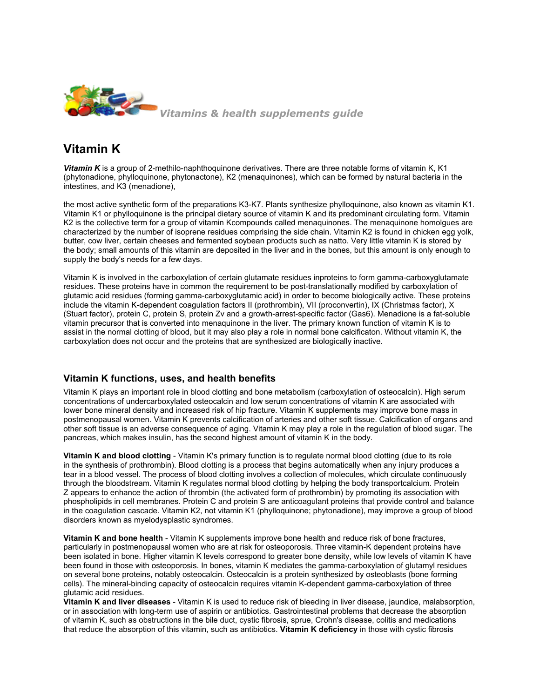

# **Vitamin K**

*Vitamin K* is a group of 2-methilo-naphthoquinone derivatives. There are three notable forms of vitamin K, [K1](http://www.vitamins-supplements.org/phytonadione.php) [\(phytonadione,](http://www.vitamins-supplements.org/phytonadione.php) [phylloquinone,](http://www.vitamins-supplements.org/phytonadione.php) [phytonactone\),](http://www.vitamins-supplements.org/phytonadione.php) [K2](http://www.vitamins-supplements.org/menaquinone.php) [\(menaquinones\)](http://www.vitamins-supplements.org/menaquinone.php), which can be formed by natural bacteria in the intestines, and [K3](http://www.vitamins-supplements.org/menadione.php) [\(menadione\),](http://www.vitamins-supplements.org/menadione.php)

the most active synthetic form of the preparations K3-K7. Plants synthesize phylloquinone, also known as vitamin K[1](http://www.vitamins-supplements.org/menaquinone.php). Vitamin K1 or phylloquinone is the principal dietary source of vitamin K and its predominant circulating form. [Vitamin](http://www.vitamins-supplements.org/menaquinone.php) [K2](http://www.vitamins-supplements.org/menaquinone.php) is the collective term for a group of [vitamin](http://www.ihealthdirectory.com/vitamin-k/) [Kc](http://www.ihealthdirectory.com/vitamin-k/)ompounds called menaquinones. The menaquinone homolgues are characterized by the number of isoprene residues comprising the side chain. [Vitamin](http://www.vitamins-supplements.org/menaquinone.php) [K2](http://www.vitamins-supplements.org/menaquinone.php) is found in chicken egg yolk, butter, cow liver, certain cheeses and fermented soybean products such as natto. Very little vitamin K is stored by the body; small amounts of this [vitamin](http://www.vitamins-supplements.org/) are deposited in the liver and in the bones, but this amount is only enough to supply the body's needs for a few days.

Vitamin K is involved in the carboxylation of certain [glutamate](http://www.vitamins-supplements.org/amino-acids/glutamine.php) residues in[proteins](http://www.vitamins-supplements.org/nutrients/proteins.php) to form gamma-carboxyglutamate residues. These proteins have in common the requirement to be post-translationally modified by carboxylation of glutamic acid residues (forming gamma-carboxyglutamic acid) in order to become biologically active. These proteins include the vitamin K-dependent coagulation factors II (prothrombin), VII (proconvertin), IX (Christmas factor), X (Stuart factor), protein C, protein S, protein Zv and a growth-arrest-specific factor (Gas6). Menadione is a fat-soluble vitamin precursor that is converted into menaquinone in the liver. The primary known function of vitamin K is to assist in the normal clotting of blood, but it may also play a role in normal bone calcificaton. Without vitamin K, the carboxylation does not occur and the proteins that are synthesized are biologically inactive.

#### **Vitamin K functions, uses, and health benefits**

Vitamin K plays an important role in blood clotting and bone metabolism (carboxylation of osteocalcin). High serum concentrations of undercarboxylated osteocalcin and low serum concentrations of vitamin K are associated with lower bone mineral density and increased risk of hip fracture. Vitamin K supplements may improve bone mass in postmenopausal women. Vitamin K prevents calcification of arteries and other soft tissue. Calcification of organs and other soft tissue is an adverse consequence of aging. Vitamin K may play a role in the regulation of blood sugar. The pancreas, which makes insulin, has the second highest amount of vitamin K in the body.

**Vitamin K and blood clotting** - Vitamin K's primary function is to regulate normal blood clotting (due to its role in the synthesis of prothrombin). Blood clotting is a process that begins automatically when any injury produces a tear in a blood vessel. The process of blood clotting involves a collection of molecules, which circulate continuously through the bloodstream. Vitamin K regulates normal blood clotting by helping the body transport[calcium](http://www.vitamins-supplements.org/dietary-minerals/calcium.php). Protein Z appears to enhance the action of thrombin (the activated form of prothrombin) by promoting its association with phospholipids in cell membranes. Protein C and protein S are anticoagulant proteins that provide control and balance in the coagulation cascade. [Vitamin](http://www.vitamins-supplements.org/menadione.php) [K2](http://www.vitamins-supplements.org/menadione.php), not [vitamin](http://www.vitamins-supplements.org/phytonadione.php) [K1](http://www.vitamins-supplements.org/phytonadione.php) ([phylloquinone;](http://www.vitamins-supplements.org/phytonadione.php) [phytonadione\)](http://www.vitamins-supplements.org/phytonadione.php), may improve a group of blood disorders known as myelodysplastic syndromes.

**Vitamin K and bone health** - Vitamin K supplements improve bone health and reduce risk of bone fractures, particularly in postmenopausal women who are at risk for osteoporosis. Three vitamin-K dependent proteins have been isolated in bone. Higher vitamin K levels correspond to greater bone density, while low levels of vitamin K have been found in those with osteoporosis. In bones, vitamin K mediates the gamma-carboxylation of glutamyl residues on several bone proteins, notably osteocalcin. Osteocalcin is a protein synthesized by osteoblasts (bone forming cells). The mineral-binding capacity of osteocalcin requires vitamin K-dependent gamma-carboxylation of three glutamic acid residues.

**Vitamin K and liver diseases** - Vitamin K is used to reduce risk of bleeding in liver disease, jaundice, malabsorption, or in association with long-term use of aspirin or antibiotics. Gastrointestinal problems that decrease the absorption of vitamin K, such as obstructions in the bile duct, cystic fibrosis, sprue, Crohn's disease, colitis and medications that reduce the absorption of this vitamin, such as antibiotics. **[Vitamin](http://www.vitamins-supplements.org/vitamin-K-deficiency.php) [K](http://www.vitamins-supplements.org/vitamin-K-deficiency.php) [deficiency](http://www.vitamins-supplements.org/vitamin-K-deficiency.php)** in those with cystic fibrosis